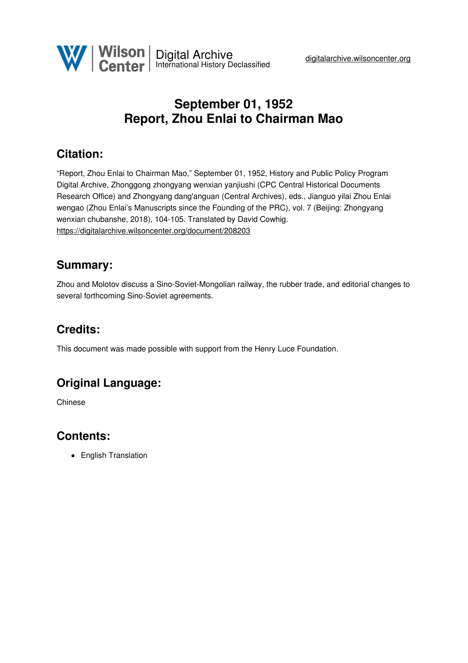

# **September 01, 1952 Report, Zhou Enlai to Chairman Mao**

## **Citation:**

"Report, Zhou Enlai to Chairman Mao," September 01, 1952, History and Public Policy Program Digital Archive, Zhonggong zhongyang wenxian yanjiushi (CPC Central Historical Documents Research Office) and Zhongyang dang'anguan (Central Archives), eds., Jianguo yilai Zhou Enlai wengao (Zhou Enlai's Manuscripts since the Founding of the PRC), vol. 7 (Beijing: Zhongyang wenxian chubanshe, 2018), 104-105. Translated by David Cowhig. <https://digitalarchive.wilsoncenter.org/document/208203>

#### **Summary:**

Zhou and Molotov discuss a Sino-Soviet-Mongolian railway, the rubber trade, and editorial changes to several forthcoming Sino-Soviet agreements.

## **Credits:**

This document was made possible with support from the Henry Luce Foundation.

## **Original Language:**

Chinese

#### **Contents:**

• English Translation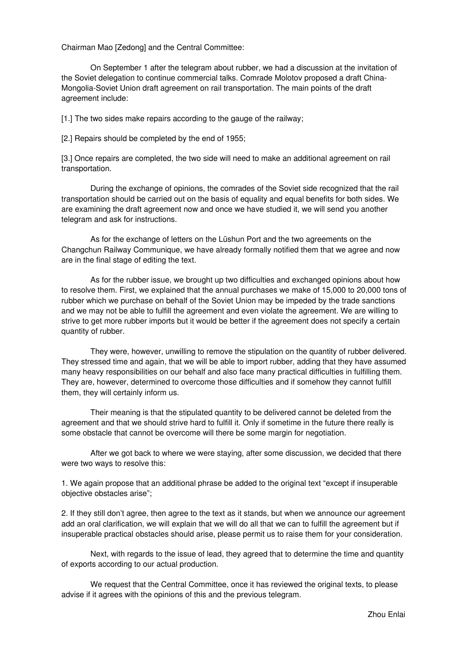Chairman Mao [Zedong] and the Central Committee:

On September 1 after the telegram about rubber, we had a discussion at the invitation of the Soviet delegation to continue commercial talks. Comrade Molotov proposed a draft China-Mongolia-Soviet Union draft agreement on rail transportation. The main points of the draft agreement include:

[1.] The two sides make repairs according to the gauge of the railway;

[2.] Repairs should be completed by the end of 1955;

[3.] Once repairs are completed, the two side will need to make an additional agreement on rail transportation.

During the exchange of opinions, the comrades of the Soviet side recognized that the rail transportation should be carried out on the basis of equality and equal benefits for both sides. We are examining the draft agreement now and once we have studied it, we will send you another telegram and ask for instructions.

As for the exchange of letters on the Lüshun Port and the two agreements on the Changchun Railway Communique, we have already formally notified them that we agree and now are in the final stage of editing the text.

As for the rubber issue, we brought up two difficulties and exchanged opinions about how to resolve them. First, we explained that the annual purchases we make of 15,000 to 20,000 tons of rubber which we purchase on behalf of the Soviet Union may be impeded by the trade sanctions and we may not be able to fulfill the agreement and even violate the agreement. We are willing to strive to get more rubber imports but it would be better if the agreement does not specify a certain quantity of rubber.

They were, however, unwilling to remove the stipulation on the quantity of rubber delivered. They stressed time and again, that we will be able to import rubber, adding that they have assumed many heavy responsibilities on our behalf and also face many practical difficulties in fulfilling them. They are, however, determined to overcome those difficulties and if somehow they cannot fulfill them, they will certainly inform us.

Their meaning is that the stipulated quantity to be delivered cannot be deleted from the agreement and that we should strive hard to fulfill it. Only if sometime in the future there really is some obstacle that cannot be overcome will there be some margin for negotiation.

After we got back to where we were staying, after some discussion, we decided that there were two ways to resolve this:

1. We again propose that an additional phrase be added to the original text "except if insuperable objective obstacles arise";

2. If they still don't agree, then agree to the text as it stands, but when we announce our agreement add an oral clarification, we will explain that we will do all that we can to fulfill the agreement but if insuperable practical obstacles should arise, please permit us to raise them for your consideration.

Next, with regards to the issue of lead, they agreed that to determine the time and quantity of exports according to our actual production.

We request that the Central Committee, once it has reviewed the original texts, to please advise if it agrees with the opinions of this and the previous telegram.